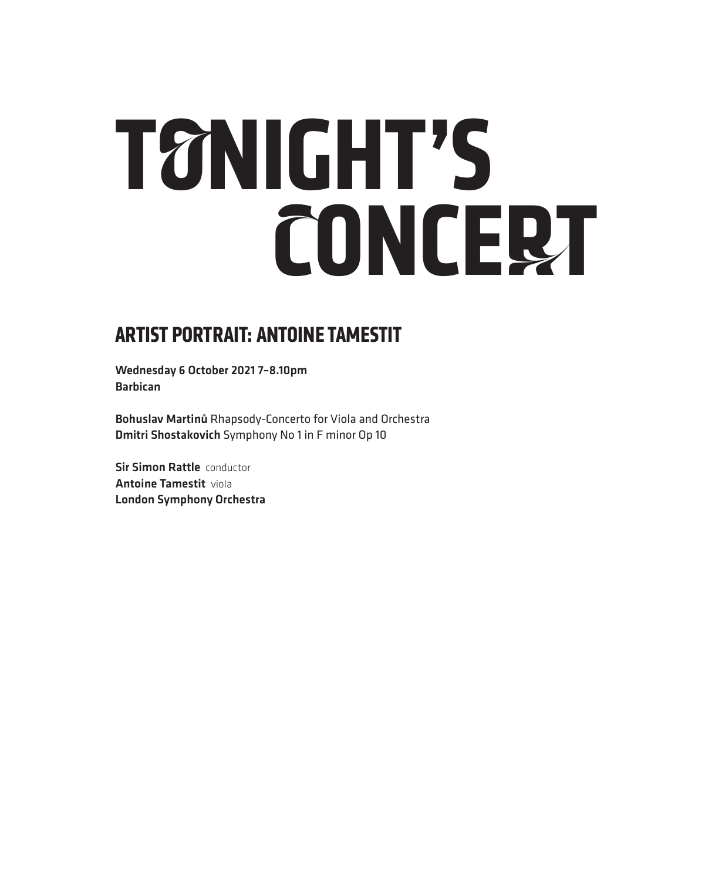# **TONIGHT'S CONCERT**

## **ARTIST PORTRAIT: ANTOINE TAMESTIT**

Wednesday 6 October 2021 7–8.10pm Barbican

Bohuslav Martinů Rhapsody-Concerto for Viola and Orchestra Dmitri Shostakovich Symphony No 1 in F minor Op 10

**Sir Simon Rattle conductor** Antoine Tamestit viola London Symphony Orchestra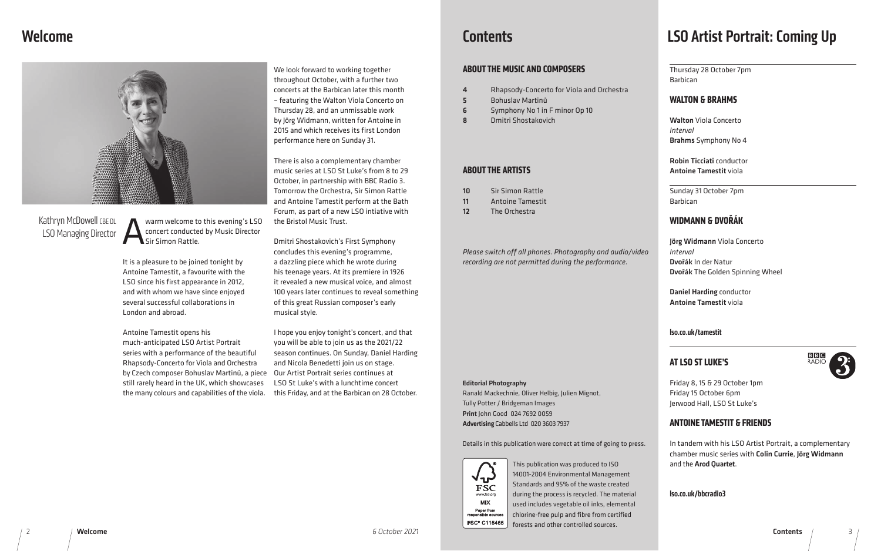This publication was produced to ISO 14001-2004 Environmental Management Standards and 95% of the waste created during the process is recycled. The material used includes vegetable oil inks, elemental chlorine-free pulp and fibre from certified forests and other controlled sources.

## Kathryn McDowell CBE DL LSO Managing Director

Warm welcome to this evening's LSO<br>
Concert conducted by Music Director<br>
Sir Simon Rattle. concert conducted by Music Director Sir Simon Rattle.

Editorial Photography

Ranald Mackechnie, Oliver Helbig, Julien Mignot,

Tully Potter / Bridgeman Images Print John Good 024 7692 0059 Advertising Cabbells Ltd 020 3603 7937

Details in this publication were correct at time of going to press.

# Welcome



We look forward to working together throughout October, with a further two concerts at the Barbican later this month – featuring the Walton Viola Concerto on Thursday 28, and an unmissable work by Jörg Widmann, written for Antoine in 2015 and which receives its first London performance here on Sunday 31.

There is also a complementary chamber music series at LSO St Luke's from 8 to 29 October, in partnership with BBC Radio 3. Tomorrow the Orchestra, Sir Simon Rattle and Antoine Tamestit perform at the Bath Forum, as part of a new LSO intiative with the Bristol Music Trust.

by Czech composer Bohuslav Martinů, a piece Our Artist Portrait series continues at Antoine Tamestit opens his much-anticipated LSO Artist Portrait series with a performance of the beautiful Rhapsody-Concerto for Viola and Orchestra still rarely heard in the UK, which showcases the many colours and capabilities of the viola.

Dmitri Shostakovich's First Symphony concludes this evening's programme, a dazzling piece which he wrote during his teenage years. At its premiere in 1926 it revealed a new musical voice, and almost 100 years later continues to reveal something of this great Russian composer's early musical style.

I hope you enjoy tonight's concert, and that you will be able to join us as the 2021/22 season continues. On Sunday, Daniel Harding and Nicola Benedetti join us on stage. LSO St Luke's with a lunchtime concert this Friday, and at the Barbican on 28 October.

## **Contents**

It is a pleasure to be joined tonight by Antoine Tamestit, a favourite with the LSO since his first appearance in 2012, and with whom we have since enjoyed several successful collaborations in London and abroad.

#### **ABOUT THE MUSIC AND COMPOSERS**

- 4 Rhapsody-Concerto for Viola and Orchestra
- 5 Bohuslav Martinů
- 6 Symphony No 1 in F minor Op 10
- 8 Dmitri Shostakovich

#### **ABOUT THE ARTISTS**

- 10 Sir Simon Rattle
- 11 Antoine Tamestit
- 12 The Orchestra

*Please switch off all phones. Photography and audio/video recording are not permitted during the performance.*

# LSO Artist Portrait: Coming Up

Thursday 28 October 7pm Barbican

#### **WALTON & BRAHMS**

Walton Viola Concerto

*Interval*

Brahms Symphony No 4

Robin Ticciati conductor Antoine Tamestit viola

Sunday 31 October 7pm

Barbican

## **WIDMANN & DVOŘÁK**

Jörg Widmann Viola Concerto

*Interval*

**Welcome** 

Dvořák In der Natur Dvořák The Golden Spinning Wheel

Daniel Harding conductor Antoine Tamestit viola



lso.co.uk/tamestit

#### **AT LSO ST LUKE'S**

Friday 8, 15 & 29 October 1pm Friday 15 October 6pm Jerwood Hall, LSO St Luke's

### **ANTOINE TAMESTIT & FRIENDS**

**MIX** Paper from<br>ponsible sources FSC<sup>®</sup> C115465

√-r **FSC** www.fsc.org

In tandem with his LSO Artist Portrait, a complementary chamber music series with Colin Currie, Jörg Widmann and the Arod Quartet.

lso.co.uk/bbcradio3

Contents / 3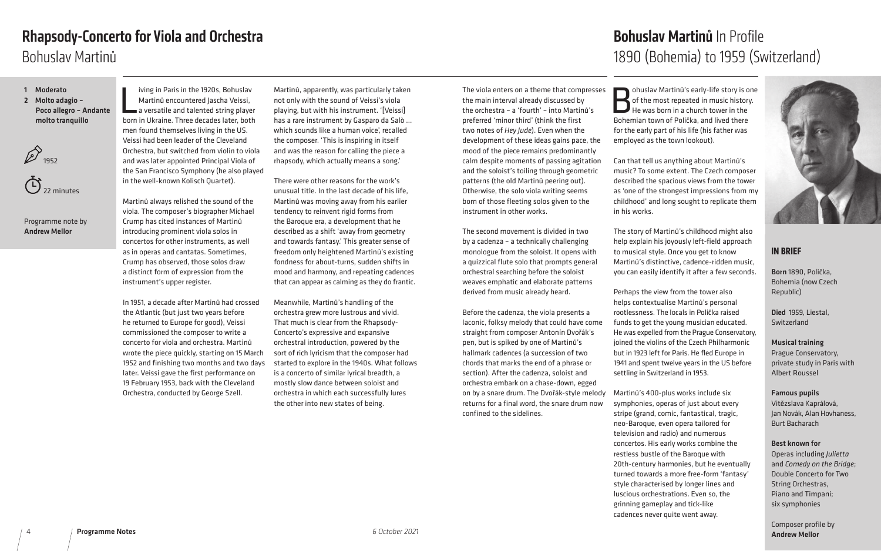

#### **IN BRIEF**

Born 1890, Polička, Bohemia (now Czech Republic)

Died 1959, Liestal, Switzerland

Musical training Prague Conservatory, private study in Paris with Albert Roussel

Famous pupils Vitězslava Kaprálová, Jan Novák, Alan Hovhaness, Burt Bacharach

Best known for Operas including *Julietta*  and *Comedy on the Bridge*; Double Concerto for Two String Orchestras, Piano and Timpani; six symphonies

Composer profile by Andrew Mellor *6 October 2021*

The viola enters on a theme that compresses the main interval already discussed by the orchestra – a 'fourth' – into Martinů's preferred 'minor third' (think the first two notes of *Hey Jude*). Even when the development of these ideas gains pace, the mood of the piece remains predominantly calm despite moments of passing agitation and the soloist's toiling through geometric patterns (the old Martinů peering out). Otherwise, the solo viola writing seems born of those fleeting solos given to the instrument in other works.

ohuslav Martinů's early-life story is one of the most repeated in music history.  $^\prime$  He was born in a church tower in the Bohemian town of Polička, and lived there for the early part of his life (his father was employed as the town lookout).

The second movement is divided in two by a cadenza – a technically challenging monologue from the soloist. It opens with a quizzical flute solo that prompts general orchestral searching before the soloist weaves emphatic and elaborate patterns derived from music already heard.

Before the cadenza, the viola presents a laconic, folksy melody that could have come straight from composer Antonín Dvořák's pen, but is spiked by one of Martinů's hallmark cadences (a succession of two chords that marks the end of a phrase or section). After the cadenza, soloist and orchestra embark on a chase-down, egged on by a snare drum. The Dvořák-style melody returns for a final word, the snare drum now confined to the sidelines.

iving in Paris in the 1920s, Bohuslav<br>Martinů encountered Jascha Veissi,<br>a versatile and talented string player<br>born in Ukraine. Three decades later, both iving in Paris in the 1920s, Bohuslav Martinů encountered Jascha Veissi, a versatile and talented string player men found themselves living in the US. Veissi had been leader of the Cleveland Orchestra, but switched from violin to viola and was later appointed Principal Viola of the San Francisco Symphony (he also played in the well-known Kolisch Quartet).

# Bohuslav Martinů In Profile 1890 (Bohemia) to 1959 (Switzerland)

Can that tell us anything about Martinů's music? To some extent. The Czech composer described the spacious views from the tower as 'one of the strongest impressions from my childhood' and long sought to replicate them in his works.

The story of Martinů's childhood might also help explain his joyously left-field approach to musical style. Once you get to know Martinů's distinctive, cadence-ridden music, you can easily identify it after a few seconds.

Perhaps the view from the tower also helps contextualise Martinů's personal rootlessness. The locals in Polička raised funds to get the young musician educated. He was expelled from the Prague Conservatory, joined the violins of the Czech Philharmonic but in 1923 left for Paris. He fled Europe in 1941 and spent twelve years in the US before settling in Switzerland in 1953.

Martinů's 400-plus works include six symphonies, operas of just about every stripe (grand, comic, fantastical, tragic, neo-Baroque, even opera tailored for television and radio) and numerous concertos. His early works combine the restless bustle of the Baroque with 20th-century harmonies, but he eventually turned towards a more free-form 'fantasy' style characterised by longer lines and luscious orchestrations. Even so, the grinning gameplay and tick-like cadences never quite went away.

Martinů always relished the sound of the viola. The composer's biographer Michael Crump has cited instances of Martinů introducing prominent viola solos in concertos for other instruments, as well as in operas and cantatas. Sometimes, Crump has observed, those solos draw a distinct form of expression from the instrument's upper register.

In 1951, a decade after Martinů had crossed the Atlantic (but just two years before he returned to Europe for good), Veissi commissioned the composer to write a concerto for viola and orchestra. Martinů wrote the piece quickly, starting on 15 March 1952 and finishing two months and two days later. Veissi gave the first performance on 19 February 1953, back with the Cleveland Orchestra, conducted by George Szell.

Martinů, apparently, was particularly taken not only with the sound of Veissi's viola playing, but with his instrument. '[Veissi] has a rare instrument by Gasparo da Salò … which sounds like a human voice', recalled the composer. 'This is inspiring in itself and was the reason for calling the piece a rhapsody, which actually means a song.'

There were other reasons for the work's unusual title. In the last decade of his life, Martinů was moving away from his earlier tendency to reinvent rigid forms from the Baroque era, a development that he described as a shift 'away from geometry and towards fantasy.' This greater sense of freedom only heightened Martinů's existing fondness for about-turns, sudden shifts in mood and harmony, and repeating cadences that can appear as calming as they do frantic.

Meanwhile, Martinů's handling of the orchestra grew more lustrous and vivid. That much is clear from the Rhapsody-Concerto's expressive and expansive orchestral introduction, powered by the sort of rich lyricism that the composer had started to explore in the 1940s. What follows is a concerto of similar lyrical breadth, a mostly slow dance between soloist and orchestra in which each successfully lures the other into new states of being.

- 1 Moderato
- 2 Molto adagio Poco allegro – Andante molto tranquillo

 $\overrightarrow{p}$  1952

22 minutes

Programme note by Andrew Mellor

# Bohuslav Martinů Rhapsody-Concerto for Viola and Orchestra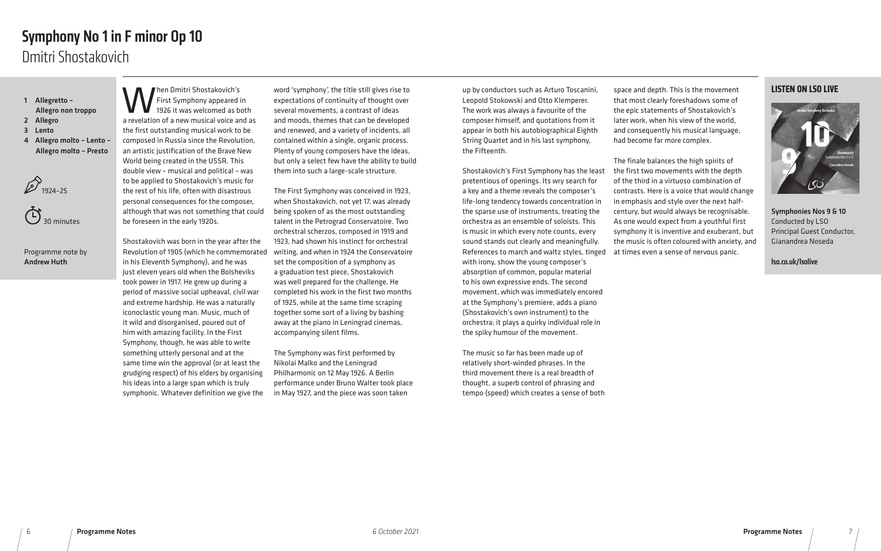up by conductors such as Arturo Toscanini, Leopold Stokowski and Otto Klemperer. The work was always a favourite of the composer himself, and quotations from it appear in both his autobiographical Eighth String Quartet and in his last symphony, the Fifteenth.

Shostakovich's First Symphony has the least pretentious of openings. Its wry search for a key and a theme reveals the composer's life-long tendency towards concentration in the sparse use of instruments, treating the orchestra as an ensemble of soloists. This is music in which every note counts, every sound stands out clearly and meaningfully. References to march and waltz styles, tinged at times even a sense of nervous panic. with irony, show the young composer's absorption of common, popular material to his own expressive ends. The second movement, which was immediately encored at the Symphony's premiere, adds a piano (Shostakovich's own instrument) to the orchestra; it plays a quirky individual role in the spiky humour of the movement.

The music so far has been made up of relatively short-winded phrases. In the third movement there is a real breadth of thought, a superb control of phrasing and tempo (speed) which creates a sense of both

When Dmitri Shostakovich's<br>First Symphony appeared is<br>a revelation of a new musical voice and First Symphony appeared in 1926 it was welcomed as both a revelation of a new musical voice and as the first outstanding musical work to be composed in Russia since the Revolution, an artistic justification of the Brave New World being created in the USSR. This double view – musical and political – was to be applied to Shostakovich's music for the rest of his life, often with disastrous personal consequences for the composer, although that was not something that could be foreseen in the early 1920s.

space and depth. This is the movement that most clearly foreshadows some of the epic statements of Shostakovich's later work, when his view of the world, and consequently his musical language, had become far more complex.

The finale balances the high spirits of the first two movements with the depth of the third in a virtuoso combination of contrasts. Here is a voice that would change in emphasis and style over the next halfcentury, but would always be recognisable. As one would expect from a youthful first symphony it is inventive and exuberant, but the music is often coloured with anxiety, and

Shostakovich was born in the year after the Revolution of 1905 (which he commemorated in his Eleventh Symphony), and he was just eleven years old when the Bolsheviks took power in 1917. He grew up during a period of massive social upheaval, civil war and extreme hardship. He was a naturally iconoclastic young man. Music, much of it wild and disorganised, poured out of him with amazing facility. In the First Symphony, though, he was able to write something utterly personal and at the same time win the approval (or at least the grudging respect) of his elders by organising his ideas into a large span which is truly symphonic. Whatever definition we give the

word 'symphony', the title still gives rise to expectations of continuity of thought over several movements, a contrast of ideas and moods, themes that can be developed and renewed, and a variety of incidents, all contained within a single, organic process. Plenty of young composers have the ideas, but only a select few have the ability to build them into such a large-scale structure.

The First Symphony was conceived in 1923, when Shostakovich, not yet 17, was already being spoken of as the most outstanding talent in the Petrograd Conservatoire. Two orchestral scherzos, composed in 1919 and 1923, had shown his instinct for orchestral writing, and when in 1924 the Conservatoire set the composition of a symphony as a graduation test piece, Shostakovich was well prepared for the challenge. He completed his work in the first two months of 1925, while at the same time scraping together some sort of a living by bashing away at the piano in Leningrad cinemas, accompanying silent films.

The Symphony was first performed by Nikolai Malko and the Leningrad Philharmonic on 12 May 1926. A Berlin performance under Bruno Walter took place in May 1927, and the piece was soon taken

- 1 Allegretto Allegro non troppo
- 2 Allegro
- 3 Lento
- 4 Allegro molto Lento Allegro molto – Presto





#### Programme note by Andrew Huth

# Dmitri Shostakovich Symphony No 1 in F minor Op 10

#### **LISTEN ON LSO LIVE**



Symphonies Nos 9 & 10 Conducted by LSO Principal Guest Conductor, Gianandrea Noseda

lso.co.uk/lsolive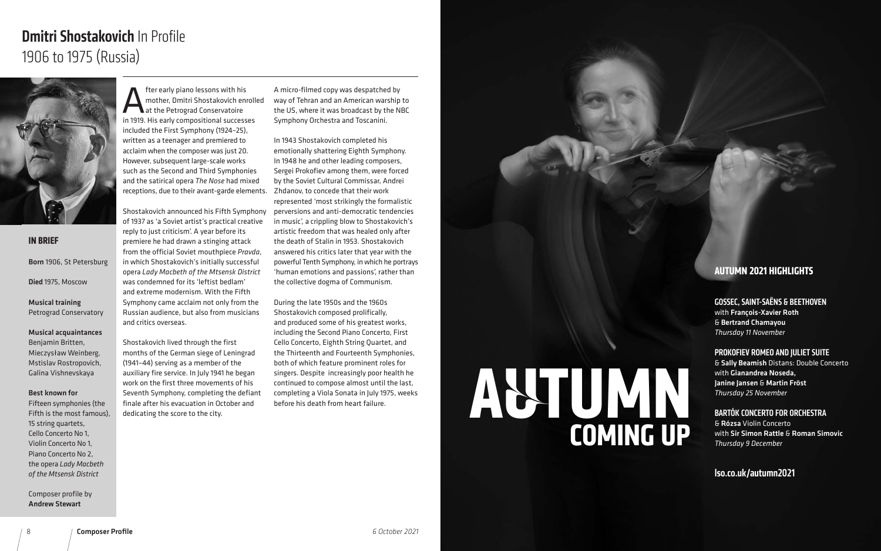**Alter early piano lessons with his<br>
Alternative model in 1919 His early compositional success**<br>
in 1919 His early compositional success mother, Dmitri Shostakovich enrolled at the Petrograd Conservatoire in 1919. His early compositional successes included the First Symphony (1924–25), written as a teenager and premiered to acclaim when the composer was just 20. However, subsequent large-scale works such as the Second and Third Symphonies and the satirical opera *The Nose* had mixed receptions, due to their avant-garde elements.

Shostakovich announced his Fifth Symphony of 1937 as 'a Soviet artist's practical creative reply to just criticism'. A year before its premiere he had drawn a stinging attack from the official Soviet mouthpiece *Pravda*, in which Shostakovich's initially successful opera *Lady Macbeth of the Mtsensk District*  was condemned for its 'leftist bedlam' and extreme modernism. With the Fifth Symphony came acclaim not only from the Russian audience, but also from musicians and critics overseas.

Shostakovich lived through the first months of the German siege of Leningrad (1941–44) serving as a member of the auxiliary fire service. In July 1941 he began work on the first three movements of his Seventh Symphony, completing the defiant finale after his evacuation in October and dedicating the score to the city.

A micro-filmed copy was despatched by way of Tehran and an American warship to the US, where it was broadcast by the NBC Symphony Orchestra and Toscanini.

In 1943 Shostakovich completed his emotionally shattering Eighth Symphony. In 1948 he and other leading composers, Sergei Prokofiev among them, were forced by the Soviet Cultural Commissar, Andrei Zhdanov, to concede that their work represented 'most strikingly the formalistic perversions and anti-democratic tendencies in music', a crippling blow to Shostakovich's artistic freedom that was healed only after the death of Stalin in 1953. Shostakovich answered his critics later that year with the powerful Tenth Symphony, in which he portrays 'human emotions and passions', rather than the collective dogma of Communism.

During the late 1950s and the 1960s Shostakovich composed prolifically, and produced some of his greatest works, including the Second Piano Concerto, First Cello Concerto, Eighth String Quartet, and the Thirteenth and Fourteenth Symphonies, both of which feature prominent roles for singers. Despite increasingly poor health he continued to compose almost until the last, completing a Viola Sonata in July 1975, weeks before his death from heart failure.

#### **IN BRIEF**

Born 1906, St Petersburg Died 1975, Moscow

Musical training Petrograd Conservatory

#### Musical acquaintances

Benjamin Britten, Mieczysław Weinberg, Mstislav Rostropovich, Galina Vishnevskaya

#### Best known for

Fifteen symphonies (the Fifth is the most famous), 15 string quartets, Cello Concerto No 1, Violin Concerto No 1, Piano Concerto No 2, the opera *Lady Macbeth of the Mtsensk District*

Composer profile by Andrew Stewart

# Dmitri Shostakovich In Profile 1906 to 1975 (Russia)



#### **AUTUMN 2021 HIGHLIGHTS**

#### GOSSEC, SAINT-SAËNS & BEETHOVEN

with François-Xavier Roth & Bertrand Chamayou *Thursday 11 November*

#### PROKOFIEV ROMEO AND JULIET SUITE

& Sally Beamish Distans: Double Concerto with Gianandrea Noseda, Janine Jansen & Martin Fröst *Thursday 25 November*

BARTÓK CONCERTO FOR ORCHESTRA & Rózsa Violin Concerto with Sir Simon Rattle & Roman Simovic *Thursday 9 December*

#### lso.co.uk/autumn2021

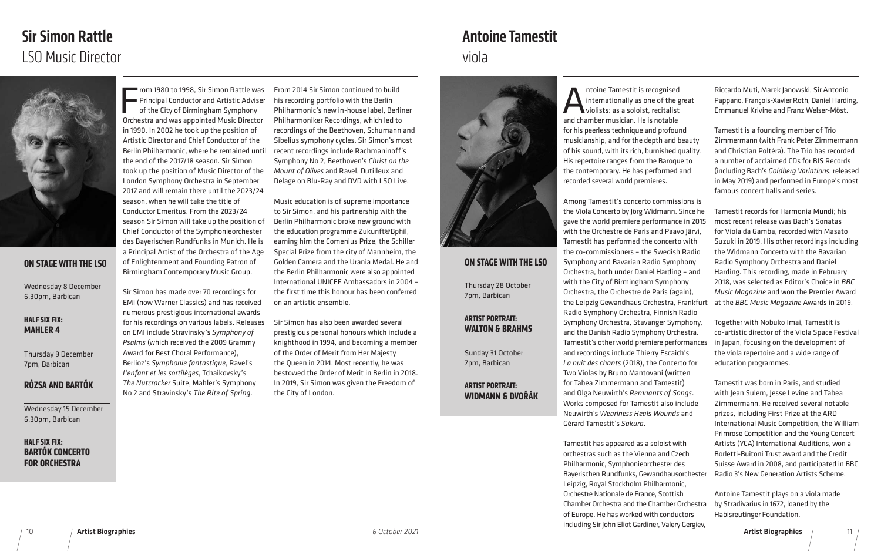# Sir Simon Rattle LSO Music Director

Antoine Tamestit is recognised<br>internationally as one of the g<br>violists: as a soloist, recitalist<br>and chamber musician. He is notable internationally as one of the great violists: as a soloist, recitalist and chamber musician. He is notable for his peerless technique and profound musicianship, and for the depth and beauty of his sound, with its rich, burnished quality. His repertoire ranges from the Baroque to the contemporary. He has performed and recorded several world premieres.

Tamestit has appeared as a soloist with orchestras such as the Vienna and Czech Philharmonic, Symphonieorchester des Leipzig, Royal Stockholm Philharmonic, Orchestre Nationale de France, Scottish Chamber Orchestra and the Chamber Orchestra of Europe. He has worked with conductors including Sir John Eliot Gardiner, Valery Gergiev,

Riccardo Muti, Marek Janowski, Sir Antonio Pappano, François-Xavier Roth, Daniel Harding, Emmanuel Krivine and Franz Welser-Möst.

Among Tamestit's concerto commissions is the Viola Concerto by Jörg Widmann. Since he gave the world premiere performance in 2015 with the Orchestre de Paris and Paavo Järvi, Tamestit has performed the concerto with the co-commissioners – the Swedish Radio Symphony and Bavarian Radio Symphony Orchestra, both under Daniel Harding – and with the City of Birmingham Symphony Orchestra, the Orchestre de Paris (again), the Leipzig Gewandhaus Orchestra, Frankfurt Radio Symphony Orchestra, Finnish Radio Symphony Orchestra, Stavanger Symphony, and the Danish Radio Symphony Orchestra. Tamestit's other world premiere performances and recordings include Thierry Escaich's *La nuit des chants* (2018), the Concerto for Two Violas by Bruno Mantovani (written for Tabea Zimmermann and Tamestit) and Olga Neuwirth's *Remnants of Songs*. Works composed for Tamestit also include Neuwirth's *Weariness Heals Wounds* and Gérard Tamestit's *Sakura*. Bayerischen Rundfunks, Gewandhausorchester Tamestit records for Harmonia Mundi; his most recent release was Bach's Sonatas for Viola da Gamba, recorded with Masato Suzuki in 2019. His other recordings including the Widmann Concerto with the Bavarian Radio Symphony Orchestra and Daniel Harding. This recording, made in February 2018, was selected as Editor's Choice in *BBC Music Magazine* and won the Premier Award at the *BBC Music Magazine* Awards in 2019. Together with Nobuko Imai, Tamestit is co-artistic director of the Viola Space Festival in Japan, focusing on the development of the viola repertoire and a wide range of education programmes. Tamestit was born in Paris, and studied with Jean Sulem, Jesse Levine and Tabea Zimmermann. He received several notable prizes, including First Prize at the ARD International Music Competition, the William Primrose Competition and the Young Concert Artists (YCA) International Auditions, won a Borletti-Buitoni Trust award and the Credit Suisse Award in 2008, and participated in BBC Radio 3's New Generation Artists Scheme.

Tamestit is a founding member of Trio Zimmermann (with Frank Peter Zimmermann and Christian Poltéra). The Trio has recorded a number of acclaimed CDs for BIS Records (including Bach's *Goldberg Variations*, released in May 2019) and performed in Europe's most famous concert halls and series.

F<sub>orbs</sub> rom 1980 to 1998, Sir Simon Rattle was Principal Conductor and Artistic Adviser of the City of Birmingham Symphony Orchestra and was appointed Music Director in 1990. In 2002 he took up the position of Artistic Director and Chief Conductor of the Berlin Philharmonic, where he remained until the end of the 2017/18 season. Sir Simon took up the position of Music Director of the London Symphony Orchestra in September 2017 and will remain there until the 2023/24 season, when he will take the title of Conductor Emeritus. From the 2023/24 season Sir Simon will take up the position of Chief Conductor of the Symphonieorchester des Bayerischen Rundfunks in Munich. He is a Principal Artist of the Orchestra of the Age of Enlightenment and Founding Patron of Birmingham Contemporary Music Group.

> Antoine Tamestit plays on a viola made by Stradivarius in 1672, loaned by the Habisreutinger Foundation.

#### **ON STAGE WITH THE LSO**

Thursday 28 October 7pm, Barbican

#### **ARTIST PORTRAIT: WALTON & BRAHMS**

Sunday 31 October 7pm, Barbican

#### **ARTIST PORTRAIT: WIDMANN & DVOŘÁK**

Sir Simon has made over 70 recordings for EMI (now Warner Classics) and has received numerous prestigious international awards for his recordings on various labels. Releases on EMI include Stravinsky's *Symphony of Psalms* (which received the 2009 Grammy Award for Best Choral Performance), Berlioz's *Symphonie fantastique*, Ravel's *L'enfant et les sortilèges*, Tchaikovsky's *The Nutcracker* Suite, Mahler's Symphony No 2 and Stravinsky's *The Rite of Spring*.

From 2014 Sir Simon continued to build his recording portfolio with the Berlin Philharmonic's new in-house label, Berliner Philharmoniker Recordings, which led to recordings of the Beethoven, Schumann and Sibelius symphony cycles. Sir Simon's most recent recordings include Rachmaninoff's Symphony No 2, Beethoven's *Christ on the Mount of Olives* and Ravel, Dutilleux and Delage on Blu-Ray and DVD with LSO Live.

Music education is of supreme importance to Sir Simon, and his partnership with the Berlin Philharmonic broke new ground with the education programme Zukunft@Bphil, earning him the Comenius Prize, the Schiller Special Prize from the city of Mannheim, the Golden Camera and the Urania Medal. He and the Berlin Philharmonic were also appointed International UNICEF Ambassadors in 2004 – the first time this honour has been conferred on an artistic ensemble.

Sir Simon has also been awarded several prestigious personal honours which include a knighthood in 1994, and becoming a member of the Order of Merit from Her Majesty the Queen in 2014. Most recently, he was bestowed the Order of Merit in Berlin in 2018. In 2019, Sir Simon was given the Freedom of the City of London.



#### **ON STAGE WITH THE LSO**

Wednesday 8 December 6.30pm, Barbican

#### **HALF SIX FIX: MAHLER 4**

Thursday 9 December 7pm, Barbican

#### **RÓZSA AND BARTÓK**

Wednesday 15 December 6.30pm, Barbican

#### **HALF SIX FIX: BARTÓK CONCERTO FOR ORCHESTRA**

# viola Antoine Tamestit